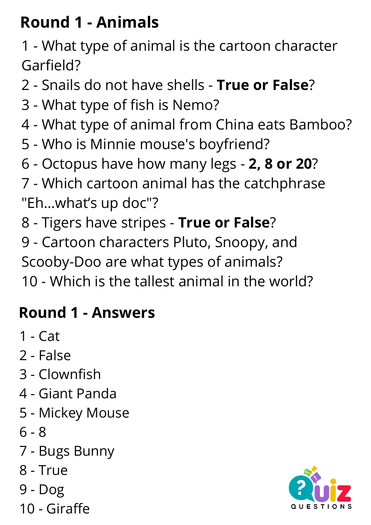# **Round 1 - Animals**

 - What type of animal is the cartoon character Garfield?

- Snails do not have shells **True or False**?
- What type of fish is Nemo?
- What type of animal from China eats Bamboo?
- Who is Minnie mouse's boyfriend?
- Octopus have how many legs **2, 8 or 20**?
- Which cartoon animal has the catchphrase "Eh…what's up doc"?
- Tigers have stripes **True or False**?
- Cartoon characters Pluto, Snoopy, and Scooby-Doo are what types of animals?
- Which is the tallest animal in the world?

#### **Round 1 - Answers**

- Cat
- False
- Clownfish
- Giant Panda
- Mickey Mouse
- 8
- Bugs Bunny
- True
- Dog
- Giraffe

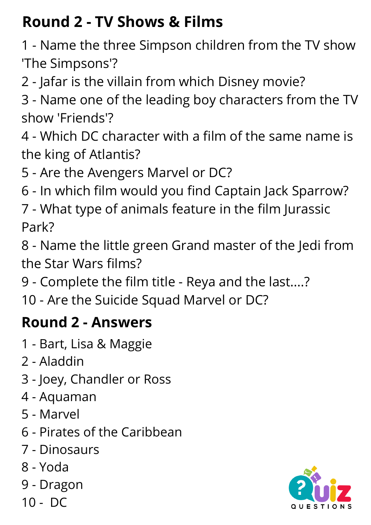# **Round 2 - TV Shows & Films**

 - Name the three Simpson children from the TV show 'The Simpsons'?

- Jafar is the villain from which Disney movie?

 - Name one of the leading boy characters from the TV show 'Friends'?

 - Which DC character with a film of the same name is the king of Atlantis?

- Are the Avengers Marvel or DC?

- In which film would you find Captain Jack Sparrow?

 - What type of animals feature in the film Jurassic Park?

 - Name the little green Grand master of the Jedi from the Star Wars films?

- Complete the film title - Reya and the last....?

- Are the Suicide Squad Marvel or DC?

#### **Round 2 - Answers**

- Bart, Lisa & Maggie
- Aladdin
- Joey, Chandler or Ross
- Aquaman
- Marvel
- Pirates of the Caribbean
- Dinosaurs
- Yoda
- Dragon
- DC

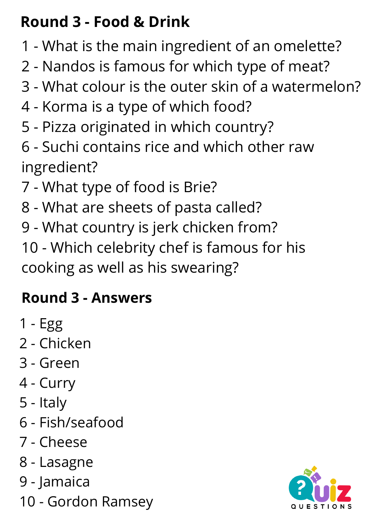# **Round 3 - Food & Drink**

- What is the main ingredient of an omelette?
- Nandos is famous for which type of meat?
- What colour is the outer skin of a watermelon?
- Korma is a type of which food?
- Pizza originated in which country?
- Suchi contains rice and which other raw ingredient?
- What type of food is Brie?
- What are sheets of pasta called?
- What country is jerk chicken from?

 - Which celebrity chef is famous for his cooking as well as his swearing?

# **Round 3 - Answers**

- Egg
- Chicken
- Green
- Curry
- Italy
- Fish/seafood
- Cheese
- Lasagne
- Jamaica
- Gordon Ramsey

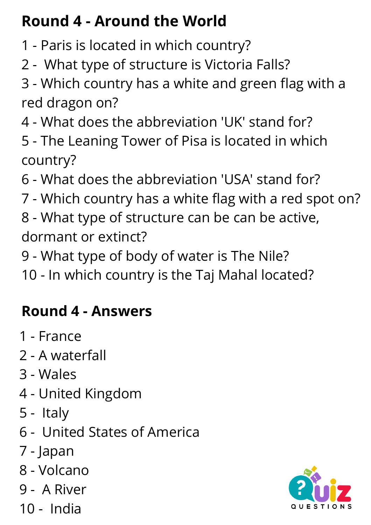# **Round 4 - Around the World**

- Paris is located in which country?
- What type of structure is Victoria Falls?

 - Which country has a white and green flag with a red dragon on?

- What does the abbreviation 'UK' stand for?
- The Leaning Tower of Pisa is located in which country?
- What does the abbreviation 'USA' stand for?
- Which country has a white flag with a red spot on?
- What type of structure can be can be active, dormant or extinct?
- What type of body of water is The Nile?
- In which country is the Taj Mahal located?

#### **Round 4 - Answers**

- France
- A waterfall
- Wales
- United Kingdom
- Italy
- United States of America
- Japan
- Volcano
- A River
- India